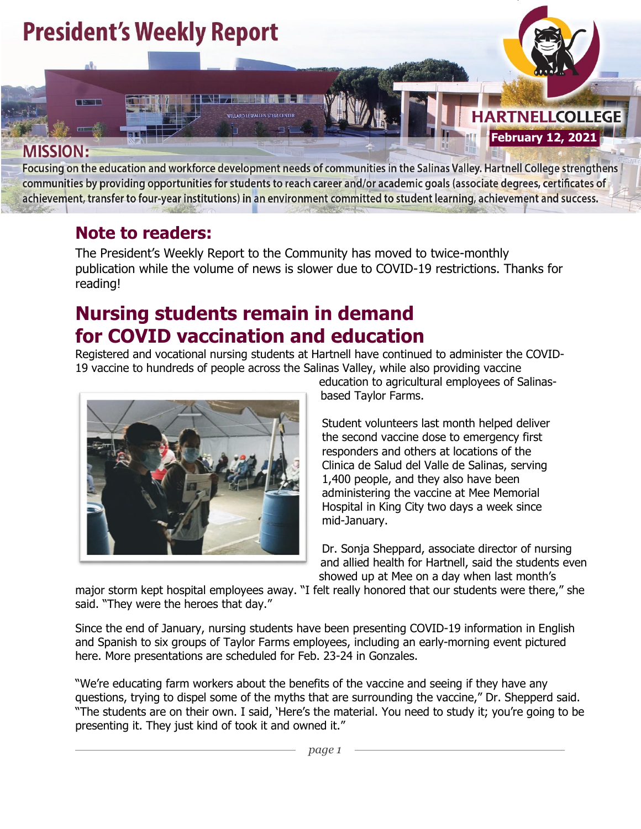

Focusing on the education and workforce development needs of communities in the Salinas Valley. Hartnell College strengthens communities by providing opportunities for students to reach career and/or academic goals (associate degrees, certificates of achievement, transfer to four-year institutions) in an environment committed to student learning, achievement and success.

### **Note to readers:**

The President's Weekly Report to the Community has moved to twice-monthly publication while the volume of news is slower due to COVID-19 restrictions. Thanks for reading!

### **Nursing students remain in demand for COVID vaccination and education**

Registered and vocational nursing students at Hartnell have continued to administer the COVID-19 vaccine to hundreds of people across the Salinas Valley, while also providing vaccine



education to agricultural employees of Salinasbased Taylor Farms.

Student volunteers last month helped deliver the second vaccine dose to emergency first responders and others at locations of the Clinica de Salud del Valle de Salinas, serving 1,400 people, and they also have been administering the vaccine at Mee Memorial Hospital in King City two days a week since mid-January.

Dr. Sonja Sheppard, associate director of nursing and allied health for Hartnell, said the students even showed up at Mee on a day when last month's

major storm kept hospital employees away. "I felt really honored that our students were there," she said. "They were the heroes that day."

Since the end of January, nursing students have been presenting COVID-19 information in English and Spanish to six groups of Taylor Farms employees, including an early-morning event pictured here. More presentations are scheduled for Feb. 23-24 in Gonzales.

"We're educating farm workers about the benefits of the vaccine and seeing if they have any questions, trying to dispel some of the myths that are surrounding the vaccine," Dr. Shepperd said. "The students are on their own. I said, 'Here's the material. You need to study it; you're going to be presenting it. They just kind of took it and owned it."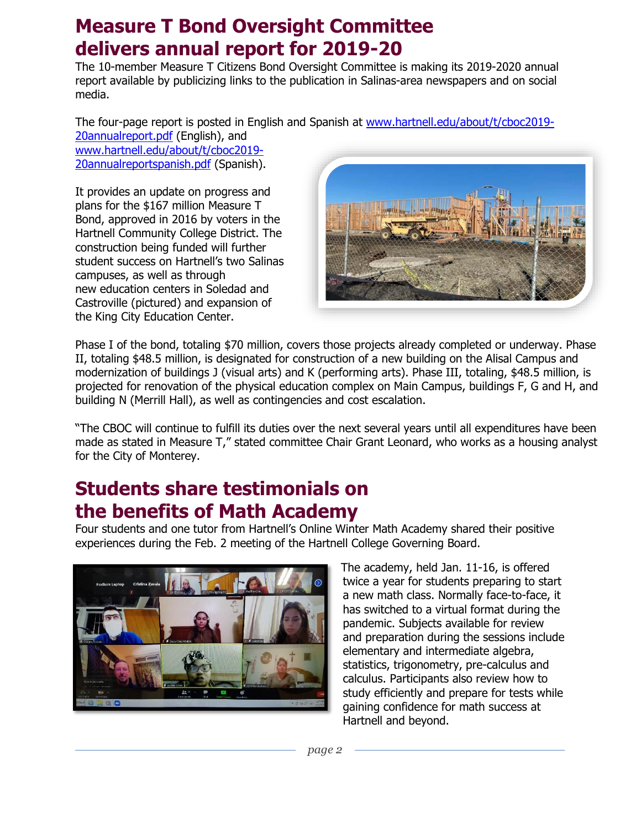### **Measure T Bond Oversight Committee delivers annual report for 2019-20**

The 10-member Measure T Citizens Bond Oversight Committee is making its 2019-2020 annual report available by publicizing links to the publication in Salinas-area newspapers and on social media.

The four-page report is posted in English and Spanish at [www.hartnell.edu/about/t/cboc2019-](http://www.hartnell.edu/about/t/cboc2019-20annualreport.pdf)

[20annualreport.pdf](http://www.hartnell.edu/about/t/cboc2019-20annualreport.pdf) (English), and [www.hartnell.edu/about/t/cboc2019-](http://www.hartnell.edu/about/t/cboc2019-20annualreportspanish.pdf) [20annualreportspanish.pdf](http://www.hartnell.edu/about/t/cboc2019-20annualreportspanish.pdf) (Spanish).

It provides an update on progress and plans for the \$167 million Measure T Bond, approved in 2016 by voters in the Hartnell Community College District. The construction being funded will further student success on Hartnell's two Salinas campuses, as well as through new education centers in Soledad and Castroville (pictured) and expansion of the King City Education Center.



Phase I of the bond, totaling \$70 million, covers those projects already completed or underway. Phase II, totaling \$48.5 million, is designated for construction of a new building on the Alisal Campus and modernization of buildings J (visual arts) and K (performing arts). Phase III, totaling, \$48.5 million, is projected for renovation of the physical education complex on Main Campus, buildings F, G and H, and building N (Merrill Hall), as well as contingencies and cost escalation.

"The CBOC will continue to fulfill its duties over the next several years until all expenditures have been made as stated in Measure T," stated committee Chair Grant Leonard, who works as a housing analyst for the City of Monterey.

### **Students share testimonials on the benefits of Math Academy**

Four students and one tutor from Hartnell's Online Winter Math Academy shared their positive experiences during the Feb. 2 meeting of the Hartnell College Governing Board.



The academy, held Jan. 11-16, is offered twice a year for students preparing to start a new math class. Normally face-to-face, it has switched to a virtual format during the pandemic. Subjects available for review and preparation during the sessions include elementary and intermediate algebra, statistics, trigonometry, pre-calculus and calculus. Participants also review how to study efficiently and prepare for tests while gaining confidence for math success at Hartnell and beyond.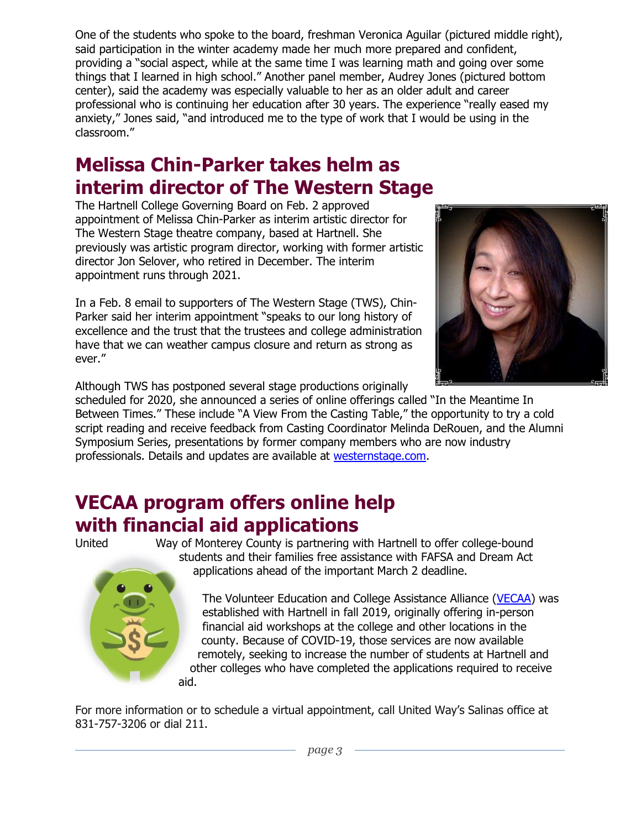One of the students who spoke to the board, freshman Veronica Aguilar (pictured middle right), said participation in the winter academy made her much more prepared and confident, providing a "social aspect, while at the same time I was learning math and going over some things that I learned in high school." Another panel member, Audrey Jones (pictured bottom center), said the academy was especially valuable to her as an older adult and career professional who is continuing her education after 30 years. The experience "really eased my anxiety," Jones said, "and introduced me to the type of work that I would be using in the classroom."

## **Melissa Chin-Parker takes helm as interim director of The Western Stage**

The Hartnell College Governing Board on Feb. 2 approved appointment of Melissa Chin-Parker as interim artistic director for The Western Stage theatre company, based at Hartnell. She previously was artistic program director, working with former artistic director Jon Selover, who retired in December. The interim appointment runs through 2021.

In a Feb. 8 email to supporters of The Western Stage (TWS), Chin-Parker said her interim appointment "speaks to our long history of excellence and the trust that the trustees and college administration have that we can weather campus closure and return as strong as ever."



Although TWS has postponed several stage productions originally

scheduled for 2020, she announced a series of online offerings called "In the Meantime In Between Times." These include "A View From the Casting Table," the opportunity to try a cold script reading and receive feedback from Casting Coordinator Melinda DeRouen, and the Alumni Symposium Series, presentations by former company members who are now industry professionals. Details and updates are available at [westernstage.com.](westernstage.com)

### **VECAA program offers online help with financial aid applications**



United Way of Monterey County is partnering with Hartnell to offer college-bound students and their families free assistance with FAFSA and Dream Act applications ahead of the important March 2 deadline.

> The Volunteer Education and College Assistance Alliance [\(VECAA\)](https://www.unitedwaymcca.org/sites/unitedwaymcca.org/files/2020%20VECAA%20Program%20Flyer.pdf) was established with Hartnell in fall 2019, originally offering in-person financial aid workshops at the college and other locations in the county. Because of COVID-19, those services are now available remotely, seeking to increase the number of students at Hartnell and other colleges who have completed the applications required to receive

For more information or to schedule a virtual appointment, call United Way's Salinas office at 831-757-3206 or dial 211.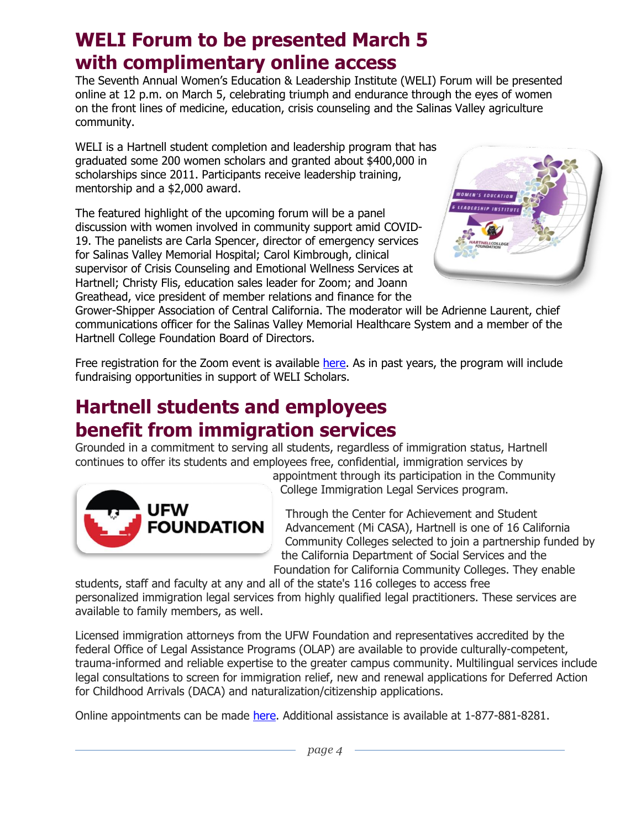### **WELI Forum to be presented March 5 with complimentary online access**

The Seventh Annual Women's Education & Leadership Institute (WELI) Forum will be presented online at 12 p.m. on March 5, celebrating triumph and endurance through the eyes of women on the front lines of medicine, education, crisis counseling and the Salinas Valley agriculture community.

WELI is a Hartnell student completion and leadership program that has graduated some 200 women scholars and granted about \$400,000 in scholarships since 2011. Participants receive leadership training, mentorship and a \$2,000 award.

The featured highlight of the upcoming forum will be a panel discussion with women involved in community support amid COVID-19. The panelists are Carla Spencer, director of emergency services for Salinas Valley Memorial Hospital; Carol Kimbrough, clinical supervisor of Crisis Counseling and Emotional Wellness Services at Hartnell; Christy Flis, education sales leader for Zoom; and Joann Greathead, vice president of member relations and finance for the



Grower-Shipper Association of Central California. The moderator will be Adrienne Laurent, chief communications officer for the Salinas Valley Memorial Healthcare System and a member of the Hartnell College Foundation Board of Directors.

Free registration for the Zoom event is available [here.](https://us02web.zoom.us/webinar/register/WN_qDwzfi1ZQvmU9Vb0Vef_zw) As in past years, the program will include fundraising opportunities in support of WELI Scholars.

### **Hartnell students and employees benefit from immigration services**

Grounded in a commitment to serving all students, regardless of immigration status, Hartnell continues to offer its students and employees free, confidential, immigration services by



appointment through its participation in the Community College Immigration Legal Services program.

Through the Center for Achievement and Student Advancement (Mi CASA), Hartnell is one of 16 California Community Colleges selected to join a partnership funded by the California Department of Social Services and the Foundation for California Community Colleges. They enable

students, staff and faculty at any and all of the state's 116 colleges to access free personalized immigration legal services from highly qualified legal practitioners. These services are available to family members, as well.

Licensed immigration attorneys from the UFW Foundation and representatives accredited by the federal Office of Legal Assistance Programs (OLAP) are available to provide culturally-competent, trauma-informed and reliable expertise to the greater campus community. Multilingual services include legal consultations to screen for immigration relief, new and renewal applications for Deferred Action for Childhood Arrivals (DACA) and naturalization/citizenship applications.

Online appointments can be made [here.](https://ufwflegalservicescollege.as.me/schedule.php) Additional assistance is available at 1-877-881-8281.